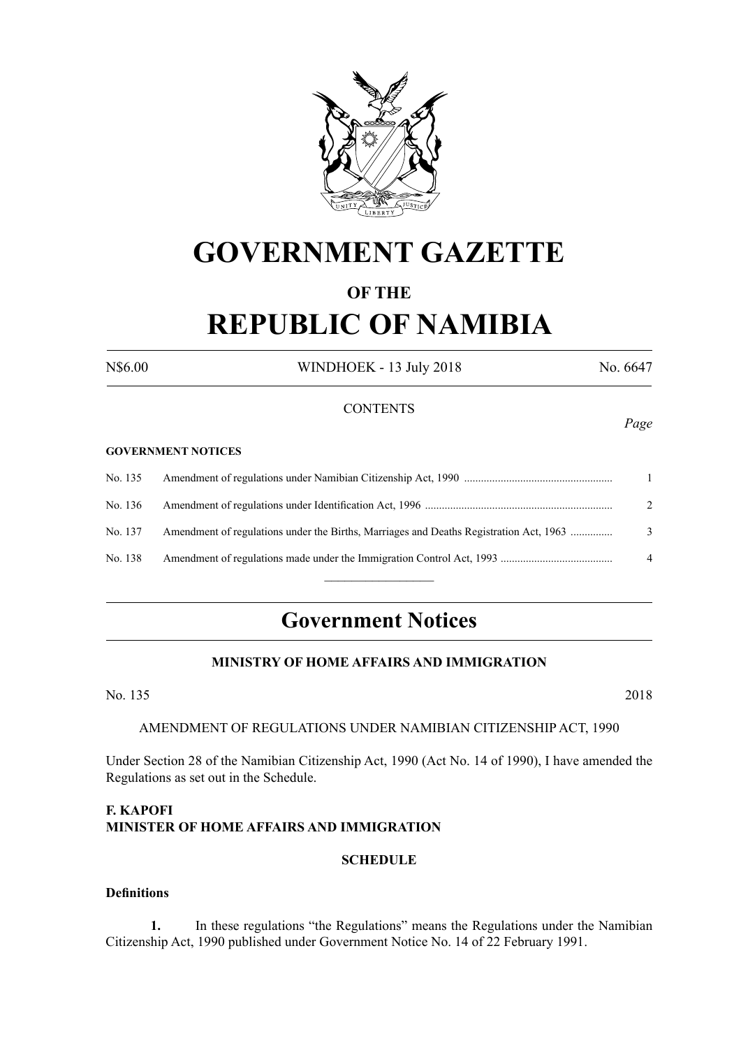

# **GOVERNMENT GAZETTE**

## **OF THE REPUBLIC OF NAMIBIA**

N\$6.00 WINDHOEK - 13 July 2018 No. 6647

#### **CONTENTS**

#### **GOVERNMENT NOTICES**

| No. 135 |                                                                                        |                |
|---------|----------------------------------------------------------------------------------------|----------------|
| No. 136 |                                                                                        | $2^{1}$        |
| No. 137 | Amendment of regulations under the Births, Marriages and Deaths Registration Act, 1963 | $\mathcal{E}$  |
| No. 138 |                                                                                        | $\overline{4}$ |
|         |                                                                                        |                |

## **Government Notices**

## **MINISTRY OF HOME AFFAIRS AND IMMIGRATION**

No. 135 2018

#### AMENDMENT OF REGULATIONS UNDER NAMIBIAN CITIZENSHIP ACT, 1990

Under Section 28 of the Namibian Citizenship Act, 1990 (Act No. 14 of 1990), I have amended the Regulations as set out in the Schedule.

## **F. KAPOFI Minister of HOME AFFAIRS AND IMMIGRATION**

#### **SCHEDULE**

#### **Definitions**

**1.** In these regulations "the Regulations" means the Regulations under the Namibian Citizenship Act, 1990 published under Government Notice No. 14 of 22 February 1991.

*Page*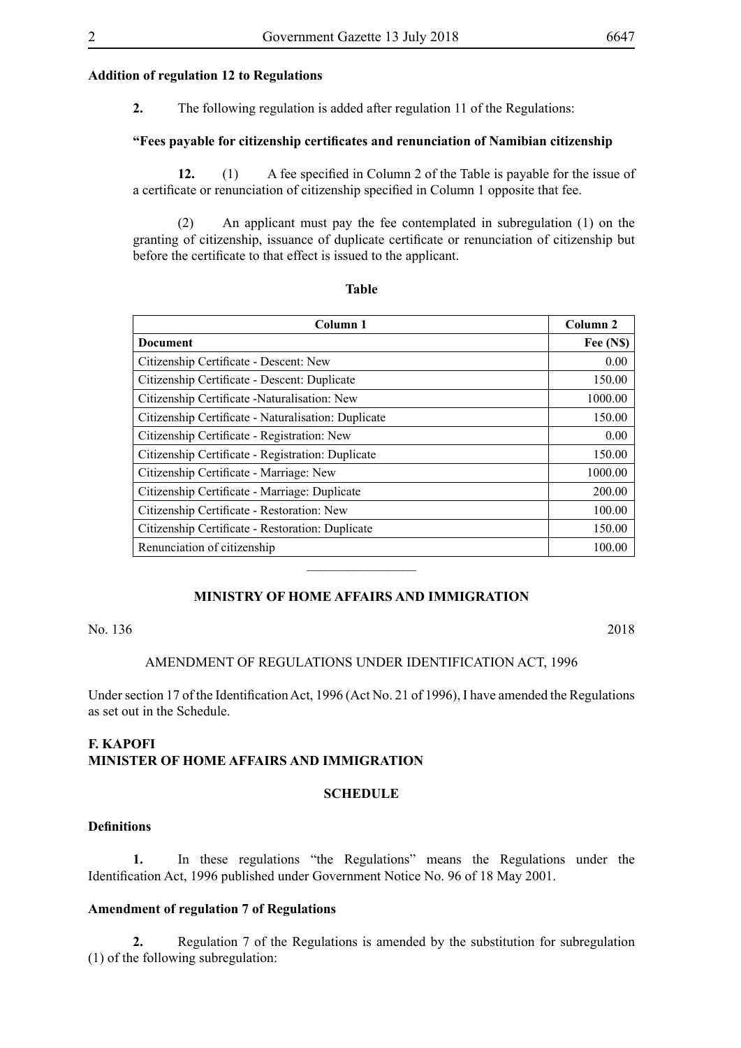#### **Addition of regulation 12 to Regulations**

**2.** The following regulation is added after regulation 11 of the Regulations:

#### **"Fees payable for citizenship certificates and renunciation of Namibian citizenship**

**12.** (1) A fee specified in Column 2 of the Table is payable for the issue of a certificate or renunciation of citizenship specified in Column 1 opposite that fee.

(2) An applicant must pay the fee contemplated in subregulation (1) on the granting of citizenship, issuance of duplicate certificate or renunciation of citizenship but before the certificate to that effect is issued to the applicant.

**Table**

| Column 1                                            | Column <sub>2</sub> |
|-----------------------------------------------------|---------------------|
| <b>Document</b>                                     | Fee (N\$)           |
| Citizenship Certificate - Descent: New              | 0.00                |
| Citizenship Certificate - Descent: Duplicate        | 150.00              |
| Citizenship Certificate - Naturalisation: New       | 1000.00             |
| Citizenship Certificate - Naturalisation: Duplicate | 150.00              |
| Citizenship Certificate - Registration: New         | 0.00                |
| Citizenship Certificate - Registration: Duplicate   | 150.00              |
| Citizenship Certificate - Marriage: New             | 1000.00             |
| Citizenship Certificate - Marriage: Duplicate       | 200.00              |
| Citizenship Certificate - Restoration: New          | 100.00              |
| Citizenship Certificate - Restoration: Duplicate    | 150.00              |
| Renunciation of citizenship                         | 100.00              |

## **MINISTRY OF HOME AFFAIRS AND IMMIGRATION**

No. 136 2018

#### AMENDMENT OF REGULATIONS UNDER IDENTIFICATION ACT, 1996

Under section 17 of the Identification Act, 1996 (Act No. 21 of 1996), I have amended the Regulations as set out in the Schedule.

#### **F. KAPOFI Minister of HOME AFFAIRS AND IMMIGRATION**

#### **SCHEDULE**

#### **Definitions**

**1.** In these regulations "the Regulations" means the Regulations under the Identification Act, 1996 published under Government Notice No. 96 of 18 May 2001.

#### **Amendment of regulation 7 of Regulations**

**2.** Regulation 7 of the Regulations is amended by the substitution for subregulation (1) of the following subregulation: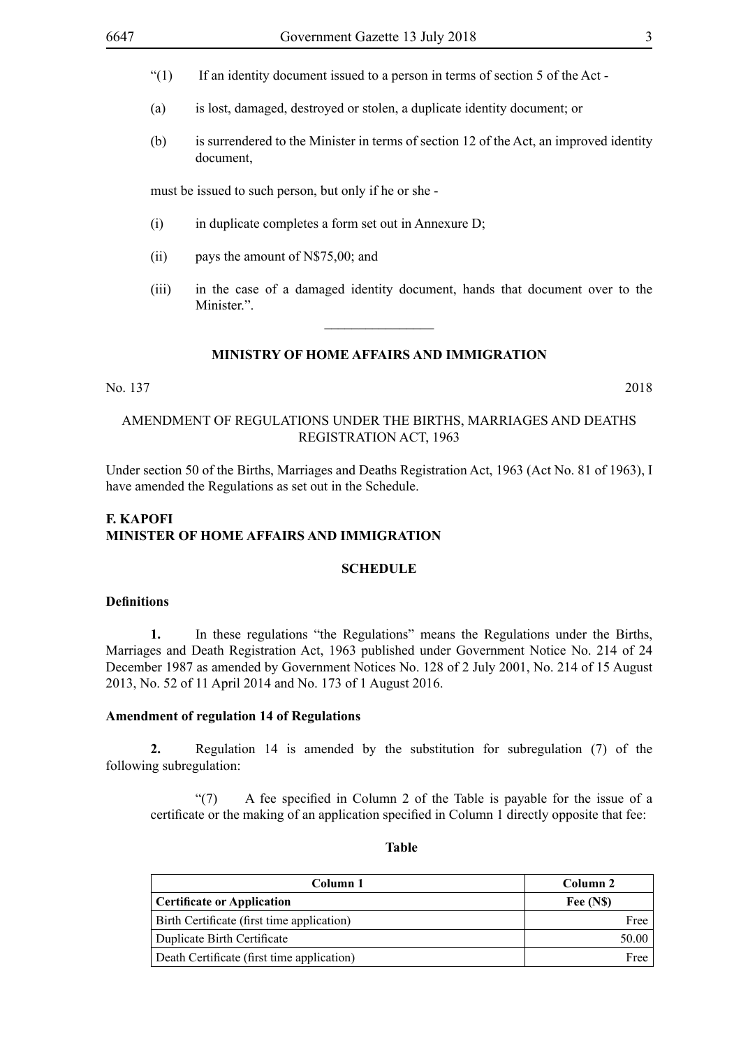- "(1) If an identity document issued to a person in terms of section 5 of the Act -
- (a) is lost, damaged, destroyed or stolen, a duplicate identity document; or
- (b) is surrendered to the Minister in terms of section 12 of the Act, an improved identity document,

must be issued to such person, but only if he or she -

- (i) in duplicate completes a form set out in Annexure D;
- (ii) pays the amount of N\$75,00; and
- (iii) in the case of a damaged identity document, hands that document over to the Minister"

#### **MINISTRY OF HOME AFFAIRS AND IMMIGRATION**

 $\frac{1}{2}$ 

#### No. 137 2018

## AMENDMENT OF REGULATIONS UNDER THE BIRTHS, MARRIAGES AND DEATHS REGISTRATION ACT, 1963

Under section 50 of the Births, Marriages and Deaths Registration Act, 1963 (Act No. 81 of 1963), I have amended the Regulations as set out in the Schedule.

## **F. KAPOFI Minister of HOME AFFAIRS AND IMMIGRATION**

#### **SCHEDULE**

#### **Definitions**

**1.** In these regulations "the Regulations" means the Regulations under the Births, Marriages and Death Registration Act, 1963 published under Government Notice No. 214 of 24 December 1987 as amended by Government Notices No. 128 of 2 July 2001, No. 214 of 15 August 2013, No. 52 of 11 April 2014 and No. 173 of 1 August 2016.

#### **Amendment of regulation 14 of Regulations**

**2.** Regulation 14 is amended by the substitution for subregulation (7) of the following subregulation:

"(7) A fee specified in Column 2 of the Table is payable for the issue of a certificate or the making of an application specified in Column 1 directly opposite that fee:

#### **Table**

| Column 1                                   | Column 2 |
|--------------------------------------------|----------|
| Certificate or Application                 | Fee (NS) |
| Birth Certificate (first time application) | Free     |
| Duplicate Birth Certificate                | 50.00    |
| Death Certificate (first time application) | Free     |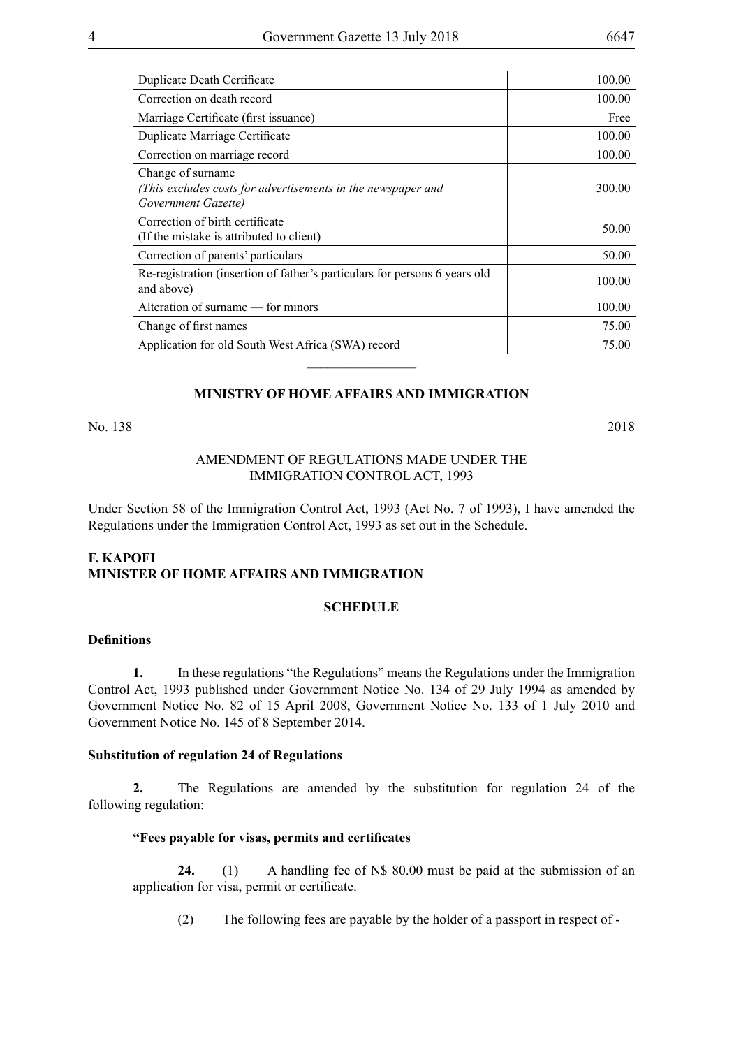| Duplicate Death Certificate                                                                              | 100.00 |
|----------------------------------------------------------------------------------------------------------|--------|
| Correction on death record                                                                               | 100.00 |
| Marriage Certificate (first issuance)                                                                    | Free   |
| Duplicate Marriage Certificate                                                                           | 100.00 |
| Correction on marriage record                                                                            | 100.00 |
| Change of surname<br>(This excludes costs for advertisements in the newspaper and<br>Government Gazette) | 300.00 |
| Correction of birth certificate<br>(If the mistake is attributed to client)                              | 50.00  |
| Correction of parents' particulars                                                                       | 50.00  |
| Re-registration (insertion of father's particulars for persons 6 years old<br>and above)                 | 100.00 |
| Alteration of surname — for minors                                                                       | 100.00 |
| Change of first names                                                                                    | 75.00  |
| Application for old South West Africa (SWA) record                                                       | 75.00  |

#### **MINISTRY OF HOME AFFAIRS AND IMMIGRATION**

 $\overline{\phantom{a}}$  , where  $\overline{\phantom{a}}$ 

No. 138 2018

#### AMENDMENT OF REGULATIONS MADE UNDER THE IMMIGRATION CONTROL ACT, 1993

Under Section 58 of the Immigration Control Act, 1993 (Act No. 7 of 1993), I have amended the Regulations under the Immigration Control Act, 1993 as set out in the Schedule.

#### **F. KAPOFI Minister of HOME AFFAIRS AND IMMIGRATION**

#### **SCHEDULE**

#### **Definitions**

**1.** In these regulations "the Regulations" means the Regulations under the Immigration Control Act, 1993 published under Government Notice No. 134 of 29 July 1994 as amended by Government Notice No. 82 of 15 April 2008, Government Notice No. 133 of 1 July 2010 and Government Notice No. 145 of 8 September 2014.

#### **Substitution of regulation 24 of Regulations**

**2.** The Regulations are amended by the substitution for regulation 24 of the following regulation:

## **"Fees payable for visas, permits and certificates**

**24.** (1) A handling fee of N\$ 80.00 must be paid at the submission of an application for visa, permit or certificate.

(2) The following fees are payable by the holder of a passport in respect of -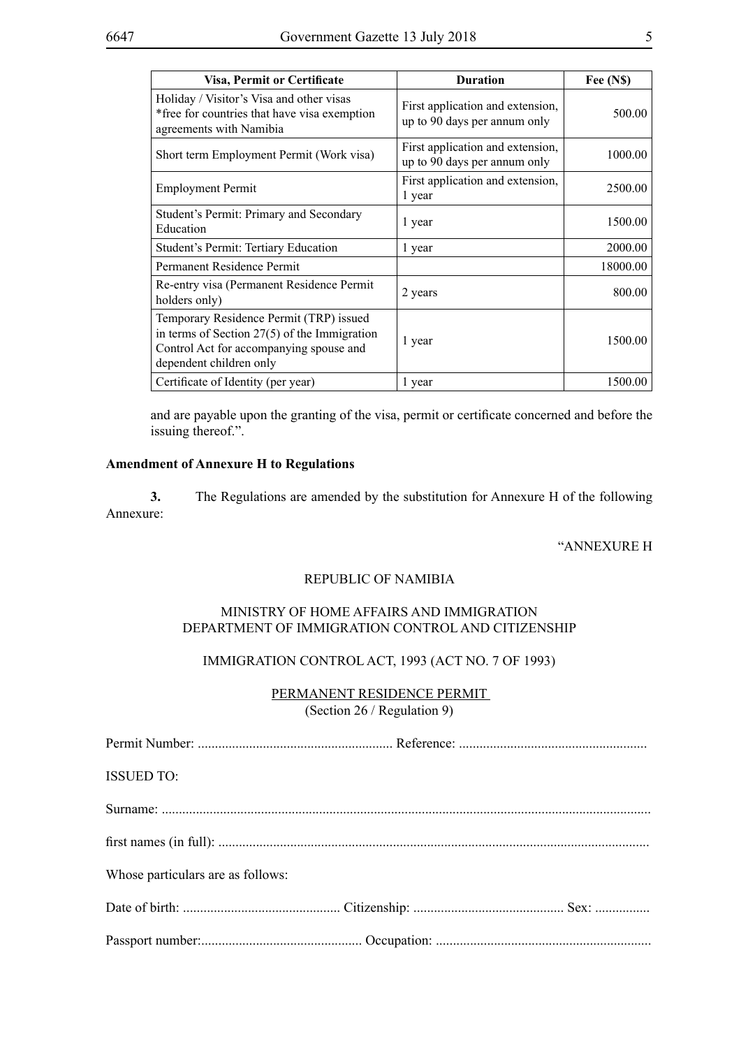| <b>Visa, Permit or Certificate</b>                                                                                                                              | <b>Duration</b>                                                  | Fee (N\$) |
|-----------------------------------------------------------------------------------------------------------------------------------------------------------------|------------------------------------------------------------------|-----------|
| Holiday / Visitor's Visa and other visas<br>*free for countries that have visa exemption<br>agreements with Namibia                                             | First application and extension,<br>up to 90 days per annum only | 500.00    |
| Short term Employment Permit (Work visa)                                                                                                                        | First application and extension,<br>up to 90 days per annum only | 1000.00   |
| <b>Employment Permit</b>                                                                                                                                        | First application and extension,<br>1 year                       | 2500.00   |
| Student's Permit: Primary and Secondary<br>Education                                                                                                            | 1 year                                                           | 1500.00   |
| Student's Permit: Tertiary Education                                                                                                                            | 1 year                                                           | 2000.00   |
| Permanent Residence Permit                                                                                                                                      |                                                                  | 18000.00  |
| Re-entry visa (Permanent Residence Permit<br>holders only)                                                                                                      | 2 years                                                          | 800.00    |
| Temporary Residence Permit (TRP) issued<br>in terms of Section $27(5)$ of the Immigration<br>Control Act for accompanying spouse and<br>dependent children only | 1 year                                                           | 1500.00   |
| Certificate of Identity (per year)                                                                                                                              | 1 year                                                           | 1500.00   |

and are payable upon the granting of the visa, permit or certificate concerned and before the issuing thereof.".

#### **Amendment of Annexure H to Regulations**

**3.** The Regulations are amended by the substitution for Annexure H of the following Annexure:

#### "ANNEXURE H

#### REPUBLIC OF NAMIBIA

#### MINISTRY OF HOME AFFAIRS AND IMMIGRATION DEPARTMENT OF IMMIGRATION CONTROL AND CITIZENSHIP

## IMMIGRATION CONTROL ACT, 1993 (ACT NO. 7 OF 1993)

#### PERMANENT RESIDENCE PERMIT (Section 26 / Regulation 9)

| <b>ISSUED TO:</b>                 |  |
|-----------------------------------|--|
|                                   |  |
|                                   |  |
| Whose particulars are as follows: |  |
|                                   |  |
|                                   |  |